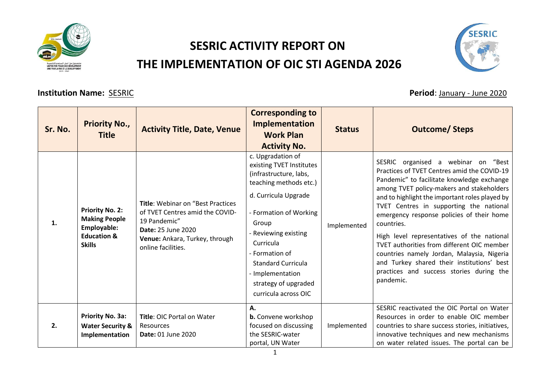

## **SESRIC ACTIVITY REPORT ON THE IMPLEMENTATION OF OIC STI AGENDA 2026**



## **Institution Name:** SESRIC **Period**: January - June 2020

| Sr. No. | <b>Priority No.,</b><br><b>Title</b>                                                                     | <b>Activity Title, Date, Venue</b>                                                                                                                                                | <b>Corresponding to</b><br><b>Implementation</b><br><b>Work Plan</b><br><b>Activity No.</b>                                                                                                                                                                                                                          | <b>Status</b> | <b>Outcome/Steps</b>                                                                                                                                                                                                                                                                                                                                                                                                                                                                                                                                                                   |
|---------|----------------------------------------------------------------------------------------------------------|-----------------------------------------------------------------------------------------------------------------------------------------------------------------------------------|----------------------------------------------------------------------------------------------------------------------------------------------------------------------------------------------------------------------------------------------------------------------------------------------------------------------|---------------|----------------------------------------------------------------------------------------------------------------------------------------------------------------------------------------------------------------------------------------------------------------------------------------------------------------------------------------------------------------------------------------------------------------------------------------------------------------------------------------------------------------------------------------------------------------------------------------|
| 1.      | <b>Priority No. 2:</b><br><b>Making People</b><br>Employable:<br><b>Education &amp;</b><br><b>Skills</b> | <b>Title: Webinar on "Best Practices"</b><br>of TVET Centres amid the COVID-<br>19 Pandemic"<br><b>Date: 25 June 2020</b><br>Venue: Ankara, Turkey, through<br>online facilities. | c. Upgradation of<br>existing TVET Institutes<br>(infrastructure, labs,<br>teaching methods etc.)<br>d. Curricula Upgrade<br>- Formation of Working<br>Group<br>- Reviewing existing<br>Curricula<br>- Formation of<br><b>Standard Curricula</b><br>- Implementation<br>strategy of upgraded<br>curricula across OIC | Implemented   | SESRIC organised a webinar on "Best<br>Practices of TVET Centres amid the COVID-19<br>Pandemic" to facilitate knowledge exchange<br>among TVET policy-makers and stakeholders<br>and to highlight the important roles played by<br>TVET Centres in supporting the national<br>emergency response policies of their home<br>countries.<br>High level representatives of the national<br>TVET authorities from different OIC member<br>countries namely Jordan, Malaysia, Nigeria<br>and Turkey shared their institutions' best<br>practices and success stories during the<br>pandemic. |
| 2.      | Priority No. 3a:<br><b>Water Security &amp;</b><br>Implementation                                        | Title: OIC Portal on Water<br>Resources<br>Date: 01 June 2020                                                                                                                     | А.<br><b>b.</b> Convene workshop<br>focused on discussing<br>the SESRIC-water<br>portal, UN Water                                                                                                                                                                                                                    | Implemented   | SESRIC reactivated the OIC Portal on Water<br>Resources in order to enable OIC member<br>countries to share success stories, initiatives,<br>innovative techniques and new mechanisms<br>on water related issues. The portal can be                                                                                                                                                                                                                                                                                                                                                    |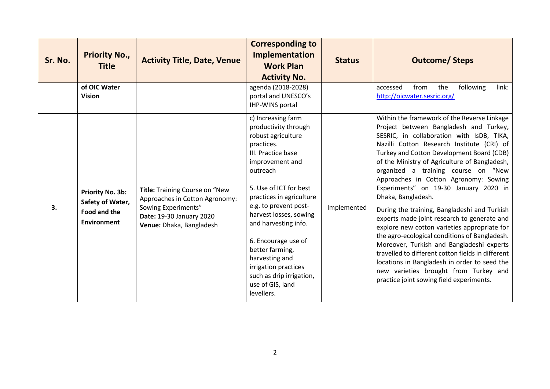| Sr. No. | <b>Priority No.,</b><br><b>Title</b>                                       | <b>Activity Title, Date, Venue</b>                                                                                                              | <b>Corresponding to</b><br>Implementation<br><b>Work Plan</b><br><b>Activity No.</b>                                                                                                                                                                                                                                                                                                                                   | <b>Status</b> | <b>Outcome/Steps</b>                                                                                                                                                                                                                                                                                                                                                                                                                                                                                                                                                                                                                                                                                                                                                                                                                                                 |
|---------|----------------------------------------------------------------------------|-------------------------------------------------------------------------------------------------------------------------------------------------|------------------------------------------------------------------------------------------------------------------------------------------------------------------------------------------------------------------------------------------------------------------------------------------------------------------------------------------------------------------------------------------------------------------------|---------------|----------------------------------------------------------------------------------------------------------------------------------------------------------------------------------------------------------------------------------------------------------------------------------------------------------------------------------------------------------------------------------------------------------------------------------------------------------------------------------------------------------------------------------------------------------------------------------------------------------------------------------------------------------------------------------------------------------------------------------------------------------------------------------------------------------------------------------------------------------------------|
|         | of OIC Water<br><b>Vision</b>                                              |                                                                                                                                                 | agenda (2018-2028)<br>portal and UNESCO's<br>IHP-WINS portal                                                                                                                                                                                                                                                                                                                                                           |               | link:<br>from<br>the<br>following<br>accessed<br>http://oicwater.sesric.org/                                                                                                                                                                                                                                                                                                                                                                                                                                                                                                                                                                                                                                                                                                                                                                                         |
| 3.      | Priority No. 3b:<br>Safety of Water,<br><b>Food and the</b><br>Environment | Title: Training Course on "New<br>Approaches in Cotton Agronomy:<br>Sowing Experiments"<br>Date: 19-30 January 2020<br>Venue: Dhaka, Bangladesh | c) Increasing farm<br>productivity through<br>robust agriculture<br>practices.<br>III. Practice base<br>improvement and<br>outreach<br>5. Use of ICT for best<br>practices in agriculture<br>e.g. to prevent post-<br>harvest losses, sowing<br>and harvesting info.<br>6. Encourage use of<br>better farming,<br>harvesting and<br>irrigation practices<br>such as drip irrigation,<br>use of GIS, land<br>levellers. | Implemented   | Within the framework of the Reverse Linkage<br>Project between Bangladesh and Turkey,<br>SESRIC, in collaboration with IsDB, TIKA,<br>Nazilli Cotton Research Institute (CRI) of<br>Turkey and Cotton Development Board (CDB)<br>of the Ministry of Agriculture of Bangladesh,<br>organized a training course on "New<br>Approaches in Cotton Agronomy: Sowing<br>Experiments" on 19-30 January 2020 in<br>Dhaka, Bangladesh.<br>During the training, Bangladeshi and Turkish<br>experts made joint research to generate and<br>explore new cotton varieties appropriate for<br>the agro-ecological conditions of Bangladesh.<br>Moreover, Turkish and Bangladeshi experts<br>travelled to different cotton fields in different<br>locations in Bangladesh in order to seed the<br>new varieties brought from Turkey and<br>practice joint sowing field experiments. |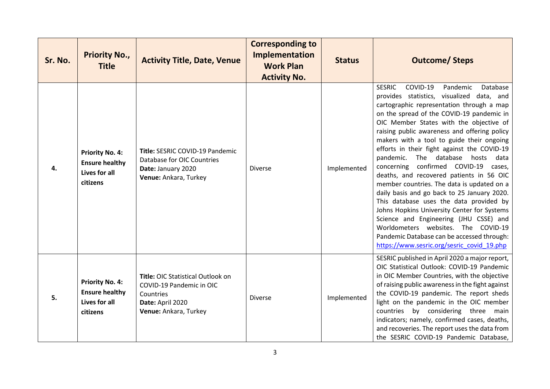| Sr. No. | <b>Priority No.,</b><br><b>Title</b>                                         | <b>Activity Title, Date, Venue</b>                                                                                      | <b>Corresponding to</b><br>Implementation<br><b>Work Plan</b><br><b>Activity No.</b> | <b>Status</b> | <b>Outcome/Steps</b>                                                                                                                                                                                                                                                                                                                                                                                                                                                                                                                                                                                                                                                                                                                                                                                                                                                         |
|---------|------------------------------------------------------------------------------|-------------------------------------------------------------------------------------------------------------------------|--------------------------------------------------------------------------------------|---------------|------------------------------------------------------------------------------------------------------------------------------------------------------------------------------------------------------------------------------------------------------------------------------------------------------------------------------------------------------------------------------------------------------------------------------------------------------------------------------------------------------------------------------------------------------------------------------------------------------------------------------------------------------------------------------------------------------------------------------------------------------------------------------------------------------------------------------------------------------------------------------|
| 4.      | <b>Priority No. 4:</b><br><b>Ensure healthy</b><br>Lives for all<br>citizens | Title: SESRIC COVID-19 Pandemic<br>Database for OIC Countries<br>Date: January 2020<br>Venue: Ankara, Turkey            | <b>Diverse</b>                                                                       | Implemented   | <b>SESRIC</b><br>COVID-19<br>Pandemic<br>Database<br>provides statistics, visualized data, and<br>cartographic representation through a map<br>on the spread of the COVID-19 pandemic in<br>OIC Member States with the objective of<br>raising public awareness and offering policy<br>makers with a tool to guide their ongoing<br>efforts in their fight against the COVID-19<br>pandemic. The database hosts data<br>concerning confirmed COVID-19 cases,<br>deaths, and recovered patients in 56 OIC<br>member countries. The data is updated on a<br>daily basis and go back to 25 January 2020.<br>This database uses the data provided by<br>Johns Hopkins University Center for Systems<br>Science and Engineering (JHU CSSE) and<br>Worldometers websites. The COVID-19<br>Pandemic Database can be accessed through:<br>https://www.sesric.org/sesric_covid_19.php |
| 5.      | <b>Priority No. 4:</b><br><b>Ensure healthy</b><br>Lives for all<br>citizens | Title: OIC Statistical Outlook on<br>COVID-19 Pandemic in OIC<br>Countries<br>Date: April 2020<br>Venue: Ankara, Turkey | <b>Diverse</b>                                                                       | Implemented   | SESRIC published in April 2020 a major report,<br>OIC Statistical Outlook: COVID-19 Pandemic<br>in OIC Member Countries, with the objective<br>of raising public awareness in the fight against<br>the COVID-19 pandemic. The report sheds<br>light on the pandemic in the OIC member<br>countries by considering three main<br>indicators; namely, confirmed cases, deaths,<br>and recoveries. The report uses the data from<br>the SESRIC COVID-19 Pandemic Database,                                                                                                                                                                                                                                                                                                                                                                                                      |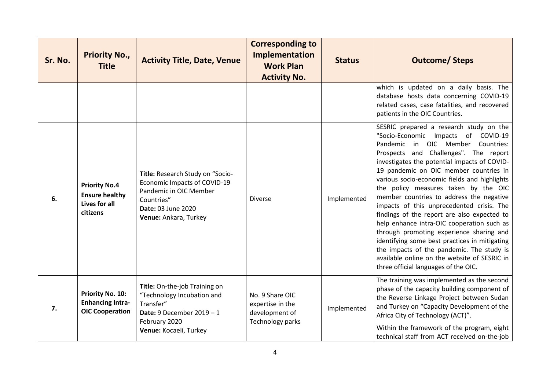| Sr. No. | <b>Priority No.,</b><br><b>Title</b>                                       | <b>Activity Title, Date, Venue</b>                                                                                                                      | <b>Corresponding to</b><br><b>Implementation</b><br><b>Work Plan</b><br><b>Activity No.</b> | <b>Status</b> | <b>Outcome/Steps</b>                                                                                                                                                                                                                                                                                                                                                                                                                                                                                                                                                                                                                                                                                                                                                   |
|---------|----------------------------------------------------------------------------|---------------------------------------------------------------------------------------------------------------------------------------------------------|---------------------------------------------------------------------------------------------|---------------|------------------------------------------------------------------------------------------------------------------------------------------------------------------------------------------------------------------------------------------------------------------------------------------------------------------------------------------------------------------------------------------------------------------------------------------------------------------------------------------------------------------------------------------------------------------------------------------------------------------------------------------------------------------------------------------------------------------------------------------------------------------------|
|         |                                                                            |                                                                                                                                                         |                                                                                             |               | which is updated on a daily basis. The<br>database hosts data concerning COVID-19<br>related cases, case fatalities, and recovered<br>patients in the OIC Countries.                                                                                                                                                                                                                                                                                                                                                                                                                                                                                                                                                                                                   |
| 6.      | <b>Priority No.4</b><br><b>Ensure healthy</b><br>Lives for all<br>citizens | Title: Research Study on "Socio-<br>Economic Impacts of COVID-19<br>Pandemic in OIC Member<br>Countries"<br>Date: 03 June 2020<br>Venue: Ankara, Turkey | <b>Diverse</b>                                                                              | Implemented   | SESRIC prepared a research study on the<br>"Socio-Economic Impacts of COVID-19<br>Pandemic in OIC Member Countries:<br>Prospects and Challenges". The report<br>investigates the potential impacts of COVID-<br>19 pandemic on OIC member countries in<br>various socio-economic fields and highlights<br>the policy measures taken by the OIC<br>member countries to address the negative<br>impacts of this unprecedented crisis. The<br>findings of the report are also expected to<br>help enhance intra-OIC cooperation such as<br>through promoting experience sharing and<br>identifying some best practices in mitigating<br>the impacts of the pandemic. The study is<br>available online on the website of SESRIC in<br>three official languages of the OIC. |
| 7.      | Priority No. 10:<br><b>Enhancing Intra-</b><br><b>OIC Cooperation</b>      | Title: On-the-job Training on<br>"Technology Incubation and<br>Transfer"<br>Date: 9 December $2019 - 1$<br>February 2020<br>Venue: Kocaeli, Turkey      | No. 9 Share OIC<br>expertise in the<br>development of<br>Technology parks                   | Implemented   | The training was implemented as the second<br>phase of the capacity building component of<br>the Reverse Linkage Project between Sudan<br>and Turkey on "Capacity Development of the<br>Africa City of Technology (ACT)".<br>Within the framework of the program, eight<br>technical staff from ACT received on-the-job                                                                                                                                                                                                                                                                                                                                                                                                                                                |